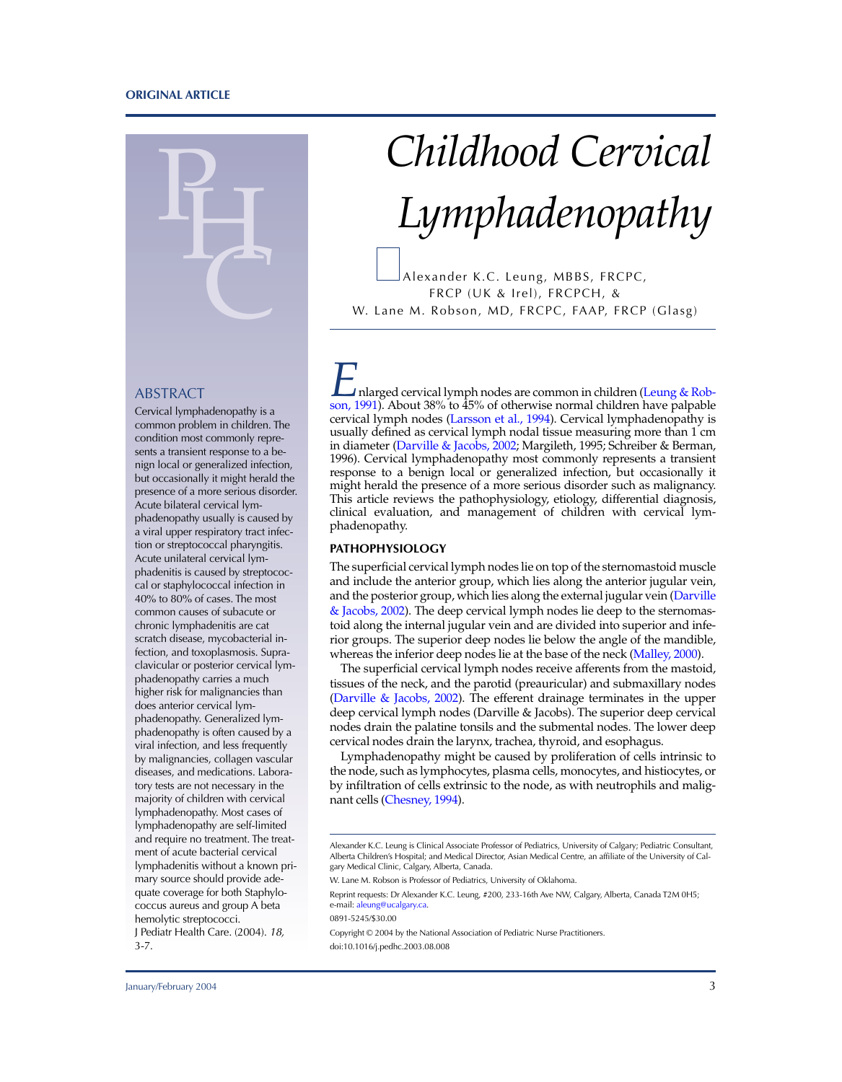#### **ORIGINAL ARTICLE**



# ABSTRACT

Cervical lymphadenopathy is a common problem in children. The condition most commonly represents a transient response to a benign local or generalized infection, but occasionally it might herald the presence of a more serious disorder. Acute bilateral cervical lymphadenopathy usually is caused by a viral upper respiratory tract infection or streptococcal pharyngitis. Acute unilateral cervical lymphadenitis is caused by streptococcal or staphylococcal infection in 40% to 80% of cases. The most common causes of subacute or chronic lymphadenitis are cat scratch disease, mycobacterial infection, and toxoplasmosis. Supraclavicular or posterior cervical lymphadenopathy carries a much higher risk for malignancies than does anterior cervical lymphadenopathy. Generalized lymphadenopathy is often caused by a viral infection, and less frequently by malignancies, collagen vascular diseases, and medications. Laboratory tests are not necessary in the majority of children with cervical lymphadenopathy. Most cases of lymphadenopathy are self-limited and require no treatment. The treatment of acute bacterial cervical lymphadenitis without a known primary source should provide adequate coverage for both Staphylococcus aureus and group A beta hemolytic streptococci. J Pediatr Health Care. (2004). 18, 3-7.

# *Childhood Cervical Lymphadenopathy*

Alexander K.C. Leung, MBBS, FRCPC, FRCP (UK & Irel), FRCPCH, & W. Lane M. Robson, MD, FRCPC, FAAP, FRCP (Glasg)

*I* nlarged cervical lymph nodes are common in children ([Leung](#page-4-0) & Robson, [1991\)](#page-4-0). About 38% to 45% of otherwise normal children have palpable cervical lymph nodes [\(Larsson](#page-4-0) et al., 1994). Cervical lymphadenopathy is usually defined as cervical lymph nodal tissue measuring more than 1 cm in diameter [\(Darville](#page-4-0) & Jacobs, 2002; Margileth, 1995; Schreiber & Berman, 1996). Cervical lymphadenopathy most commonly represents a transient response to a benign local or generalized infection, but occasionally it might herald the presence of a more serious disorder such as malignancy. This article reviews the pathophysiology, etiology, differential diagnosis, clinical evaluation, and management of children with cervical lymphadenopathy.

# **PATHOPHYSIOLOGY**

The superficial cervical lymph nodes lie on top of the sternomastoid muscle and include the anterior group, which lies along the anterior jugular vein, and the posterior group, which lies along the external jugular vein ([Darville](#page-4-0) & [Jacobs,](#page-4-0) 2002). The deep cervical lymph nodes lie deep to the sternomastoid along the internal jugular vein and are divided into superior and inferior groups. The superior deep nodes lie below the angle of the mandible, whereas the inferior deep nodes lie at the base of the neck ([Malley, 2000\)](#page-4-0).

The superficial cervical lymph nodes receive afferents from the mastoid, tissues of the neck, and the parotid (preauricular) and submaxillary nodes ([Darville](#page-4-0) & Jacobs, 2002). The efferent drainage terminates in the upper deep cervical lymph nodes (Darville & Jacobs). The superior deep cervical nodes drain the palatine tonsils and the submental nodes. The lower deep cervical nodes drain the larynx, trachea, thyroid, and esophagus.

Lymphadenopathy might be caused by proliferation of cells intrinsic to the node, such as lymphocytes, plasma cells, monocytes, and histiocytes, or by infiltration of cells extrinsic to the node, as with neutrophils and malignant cells [\(Chesney, 1994\).](#page-4-0)

W. Lane M. Robson is Professor of Pediatrics, University of Oklahoma.

Reprint requests: Dr Alexander K.C. Leung, #200, 233-16th Ave NW, Calgary, Alberta, Canada T2M 0H5; e-mail: [aleung@ucalgary.ca.](mailto:aleung@ucalgary.ca)

0891-5245/\$30.00

Copyright © 2004 by the National Association of Pediatric Nurse Practitioners. doi:10.1016/j.pedhc.2003.08.008

Alexander K.C. Leung is Clinical Associate Professor of Pediatrics, University of Calgary; Pediatric Consultant, Alberta Children's Hospital; and Medical Director, Asian Medical Centre, an affiliate of the University of Calgary Medical Clinic, Calgary, Alberta, Canada.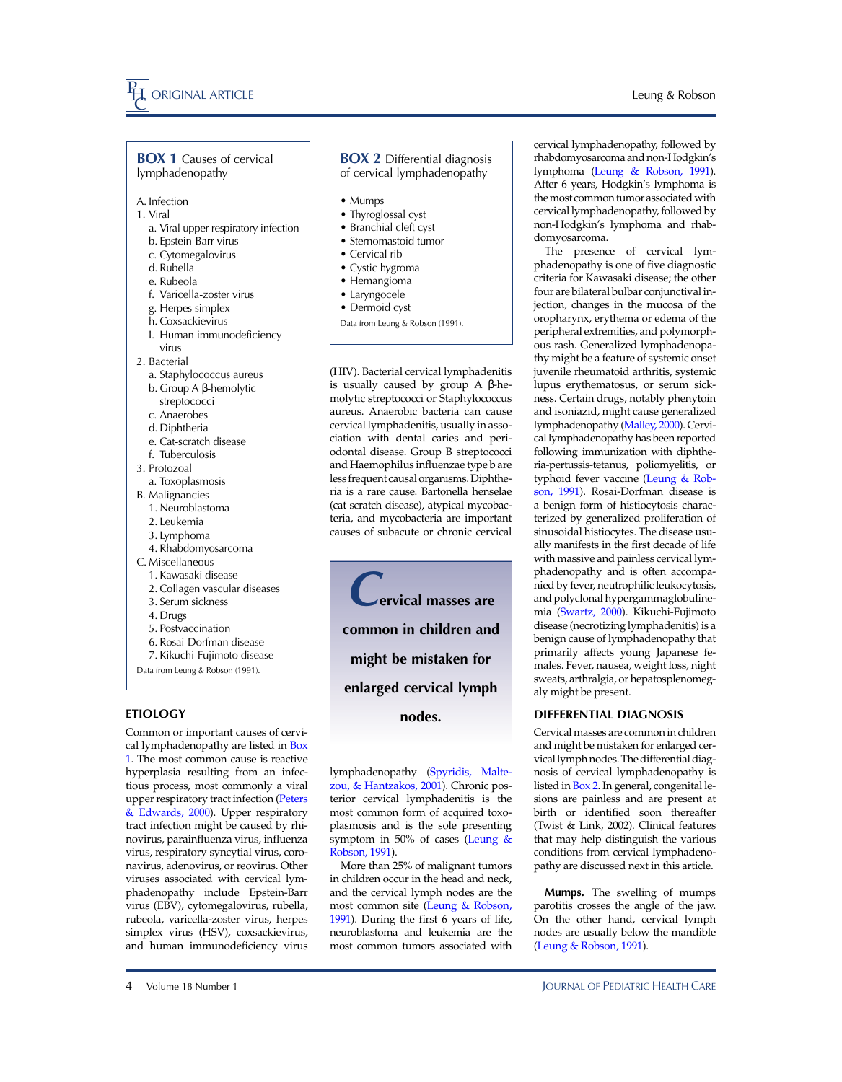#### Leung & Robson

#### **BOX 1 Causes of cervical** lymphadenopathy

- A. Infection
- 1. Viral
	- a. Viral upper respiratory infection
	- b. Epstein-Barr virus
	- c. Cytomegalovirus d. Rubella
	- e. Rubeola
	-
	- f. Varicella-zoster virus
	- g. Herpes simplex
	- h. Coxsackievirus
	- I. Human immunodeficiency virus
- 2. Bacterial
	- a. Staphylococcus aureus
	- b. Group A β-hemolytic
	- streptococci
	- c. Anaerobes
	- d. Diphtheria
	- e. Cat-scratch disease
- f. Tuberculosis
- 3. Protozoal
- a. Toxoplasmosis
- B. Malignancies
- 1. Neuroblastoma
- 2. Leukemia
- 3. Lymphoma
- 4. Rhabdomyosarcoma
- C. Miscellaneous
	- 1. Kawasaki disease 2. Collagen vascular diseases
	- 3. Serum sickness
	- 4. Drugs
	- 5. Postvaccination
	- 6. Rosai-Dorfman disease
	- 7. Kikuchi-Fujimoto disease
- Data from Leung & Robson (1991).

# **ETIOLOGY**

Common or important causes of cervical lymphadenopathy are listed in Box 1. The most common cause is reactive hyperplasia resulting from an infectious process, most commonly a viral upper respiratory tract infection ([Peters](#page-4-0) & [Edwards,](#page-4-0) 2000). Upper respiratory tract infection might be caused by rhinovirus, parainfluenza virus, influenza virus, respiratory syncytial virus, coronavirus, adenovirus, or reovirus. Other viruses associated with cervical lymphadenopathy include Epstein-Barr virus (EBV), cytomegalovirus, rubella, rubeola, varicella-zoster virus, herpes simplex virus (HSV), coxsackievirus, and human immunodeficiency virus

## **BOX 2** Differential diagnosis of cervical lymphadenopathy

- Mumps
- Thyroglossal cyst
- Branchial cleft cyst
- Sternomastoid tumor
- Cervical rib
- Cystic hygroma
- Hemangioma
- Laryngocele
- Dermoid cyst
- Data from Leung & Robson (1991).

(HIV). Bacterial cervical lymphadenitis is usually caused by group A β-hemolytic streptococci or Staphylococcus aureus. Anaerobic bacteria can cause cervical lymphadenitis, usually in association with dental caries and periodontal disease. Group B streptococci and Haemophilus influenzae type b are less frequent causal organisms. Diphtheria is a rare cause. Bartonella henselae (cat scratch disease), atypical mycobacteria, and mycobacteria are important causes of subacute or chronic cervical

*C***ervical masses are common in children and might be mistaken for enlarged cervical lymph nodes.**

lymphadenopathy [\(Spyridis,](#page-4-0) Maltezou, & [Hantzakos,](#page-4-0) 2001). Chronic posterior cervical lymphadenitis is the most common form of acquired toxoplasmosis and is the sole presenting symptom in 50% of cases [\(Leung &](#page-4-0) [Robson,](#page-4-0) 1991).

More than 25% of malignant tumors in children occur in the head and neck, and the cervical lymph nodes are the most common site [\(Leung & Robson,](#page-4-0) [1991\).](#page-4-0) During the first 6 years of life, neuroblastoma and leukemia are the most common tumors associated with

cervical lymphadenopathy, followed by rhabdomyosarcoma and non-Hodgkin's lymphoma [\(Leung & Robson, 1991\).](#page-4-0) After 6 years, Hodgkin's lymphoma is the most common tumor associated with cervical lymphadenopathy, followed by non-Hodgkin's lymphoma and rhabdomyosarcoma.

The presence of cervical lymphadenopathy is one of five diagnostic criteria for Kawasaki disease; the other four are bilateral bulbar conjunctival injection, changes in the mucosa of the oropharynx, erythema or edema of the peripheral extremities, and polymorphous rash. Generalized lymphadenopathy might be a feature of systemic onset juvenile rheumatoid arthritis, systemic lupus erythematosus, or serum sickness. Certain drugs, notably phenytoin and isoniazid, might cause generalized lymphadenopathy [\(Malley, 2000\)](#page-4-0). Cervical lymphadenopathy has been reported following immunization with diphtheria-pertussis-tetanus, poliomyelitis, or typhoid fever vaccine [\(Leung & Rob](#page-4-0)son, [1991\)](#page-4-0). Rosai-Dorfman disease is a benign form of histiocytosis characterized by generalized proliferation of sinusoidal histiocytes. The disease usually manifests in the first decade of life with massive and painless cervical lymphadenopathy and is often accompanied by fever, neutrophilic leukocytosis, and polyclonal hypergammaglobulinemia [\(Swartz, 2000\).](#page-4-0) Kikuchi-Fujimoto disease (necrotizing lymphadenitis) is a benign cause of lymphadenopathy that primarily affects young Japanese females. Fever, nausea, weight loss, night sweats, arthralgia, or hepatosplenomegaly might be present.

#### **DIFFERENTIAL DIAGNOSIS**

Cervical masses are common in children and might be mistaken for enlarged cervical lymph nodes. The differential diagnosis of cervical lymphadenopathy is listed in Box 2. In general, congenital lesions are painless and are present at birth or identified soon thereafter (Twist & Link, 2002). Clinical features that may help distinguish the various conditions from cervical lymphadenopathy are discussed next in this article.

**Mumps.** The swelling of mumps parotitis crosses the angle of the jaw. On the other hand, cervical lymph nodes are usually below the mandible [\(Leung & Robson, 1991\).](#page-4-0)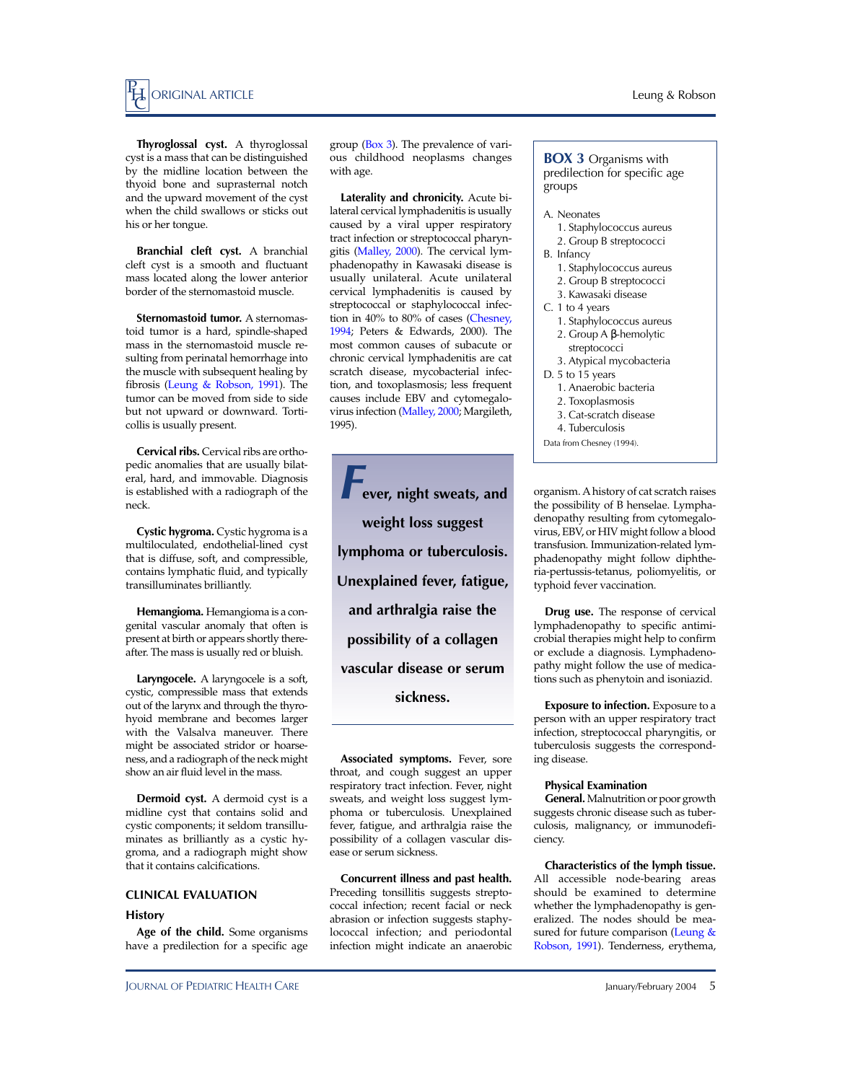

**Thyroglossal cyst.** A thyroglossal cyst is a mass that can be distinguished by the midline location between the thyoid bone and suprasternal notch and the upward movement of the cyst when the child swallows or sticks out his or her tongue.

**Branchial cleft cyst.** A branchial cleft cyst is a smooth and fluctuant mass located along the lower anterior border of the sternomastoid muscle.

**Sternomastoid tumor.** A sternomastoid tumor is a hard, spindle-shaped mass in the sternomastoid muscle resulting from perinatal hemorrhage into the muscle with subsequent healing by fibrosis [\(Leung & Robson, 1991\).](#page-4-0) The tumor can be moved from side to side but not upward or downward. Torticollis is usually present.

**Cervical ribs.** Cervical ribs are orthopedic anomalies that are usually bilateral, hard, and immovable. Diagnosis is established with a radiograph of the neck.

**Cystic hygroma.** Cystic hygroma is a multiloculated, endothelial-lined cyst that is diffuse, soft, and compressible, contains lymphatic fluid, and typically transilluminates brilliantly.

**Hemangioma.** Hemangioma is a congenital vascular anomaly that often is present at birth or appears shortly thereafter. The mass is usually red or bluish.

**Laryngocele.** A laryngocele is a soft, cystic, compressible mass that extends out of the larynx and through the thyrohyoid membrane and becomes larger with the Valsalva maneuver. There might be associated stridor or hoarseness, and a radiograph of the neck might show an air fluid level in the mass.

**Dermoid cyst.** A dermoid cyst is a midline cyst that contains solid and cystic components; it seldom transilluminates as brilliantly as a cystic hygroma, and a radiograph might show that it contains calcifications.

#### **CLINICAL EVALUATION**

#### **History**

**Age of the child.** Some organisms have a predilection for a specific age group (Box 3). The prevalence of various childhood neoplasms changes with age.

**Laterality and chronicity.** Acute bilateral cervical lymphadenitis is usually caused by a viral upper respiratory tract infection or streptococcal pharyngitis [\(Malley, 2000\)](#page-4-0). The cervical lymphadenopathy in Kawasaki disease is usually unilateral. Acute unilateral cervical lymphadenitis is caused by streptococcal or staphylococcal infection in 40% to 80% of cases [\(Chesney,](#page-4-0) [1994;](#page-4-0) Peters & Edwards, 2000). The most common causes of subacute or chronic cervical lymphadenitis are cat scratch disease, mycobacterial infection, and toxoplasmosis; less frequent causes include EBV and cytomegalovirus infection [\(Malley, 2000;](#page-4-0) Margileth, 1995).

*F***ever, night sweats, and weight loss suggest lymphoma or tuberculosis. Unexplained fever, fatigue, and arthralgia raise the possibility of a collagen vascular disease or serum sickness.**

**Associated symptoms.** Fever, sore throat, and cough suggest an upper respiratory tract infection. Fever, night sweats, and weight loss suggest lymphoma or tuberculosis. Unexplained fever, fatigue, and arthralgia raise the possibility of a collagen vascular disease or serum sickness.

**Concurrent illness and past health.** Preceding tonsillitis suggests streptococcal infection; recent facial or neck abrasion or infection suggests staphylococcal infection; and periodontal infection might indicate an anaerobic

**BOX 3** Organisms with predilection for specific age groups

- A. Neonates
	- 1. Staphylococcus aureus
	- 2. Group B streptococci
- B. Infancy
	- 1. Staphylococcus aureus 2. Group B streptococci
	- 3. Kawasaki disease
- C. 1 to 4 years
	- 1. Staphylococcus aureus
	- 2. Group A β-hemolytic streptococci
	- 3. Atypical mycobacteria
- D. 5 to 15 years
	- 1. Anaerobic bacteria
	- 2. Toxoplasmosis
	- 3. Cat-scratch disease
	- 4. Tuberculosis
- Data from Chesney (1994).

organism. A history of cat scratch raises the possibility of B henselae. Lymphadenopathy resulting from cytomegalovirus, EBV, or HIV might follow a blood transfusion. Immunization-related lymphadenopathy might follow diphtheria-pertussis-tetanus, poliomyelitis, or typhoid fever vaccination.

**Drug use.** The response of cervical lymphadenopathy to specific antimicrobial therapies might help to confirm or exclude a diagnosis. Lymphadenopathy might follow the use of medications such as phenytoin and isoniazid.

**Exposure to infection.** Exposure to a person with an upper respiratory tract infection, streptococcal pharyngitis, or tuberculosis suggests the corresponding disease.

#### **Physical Examination**

**General.** Malnutrition or poor growth suggests chronic disease such as tuberculosis, malignancy, or immunodeficiency.

**Characteristics of the lymph tissue.** All accessible node-bearing areas should be examined to determine whether the lymphadenopathy is generalized. The nodes should be measured for future comparison [\(Leung &](#page-4-0) [Robson,](#page-4-0) 1991). Tenderness, erythema,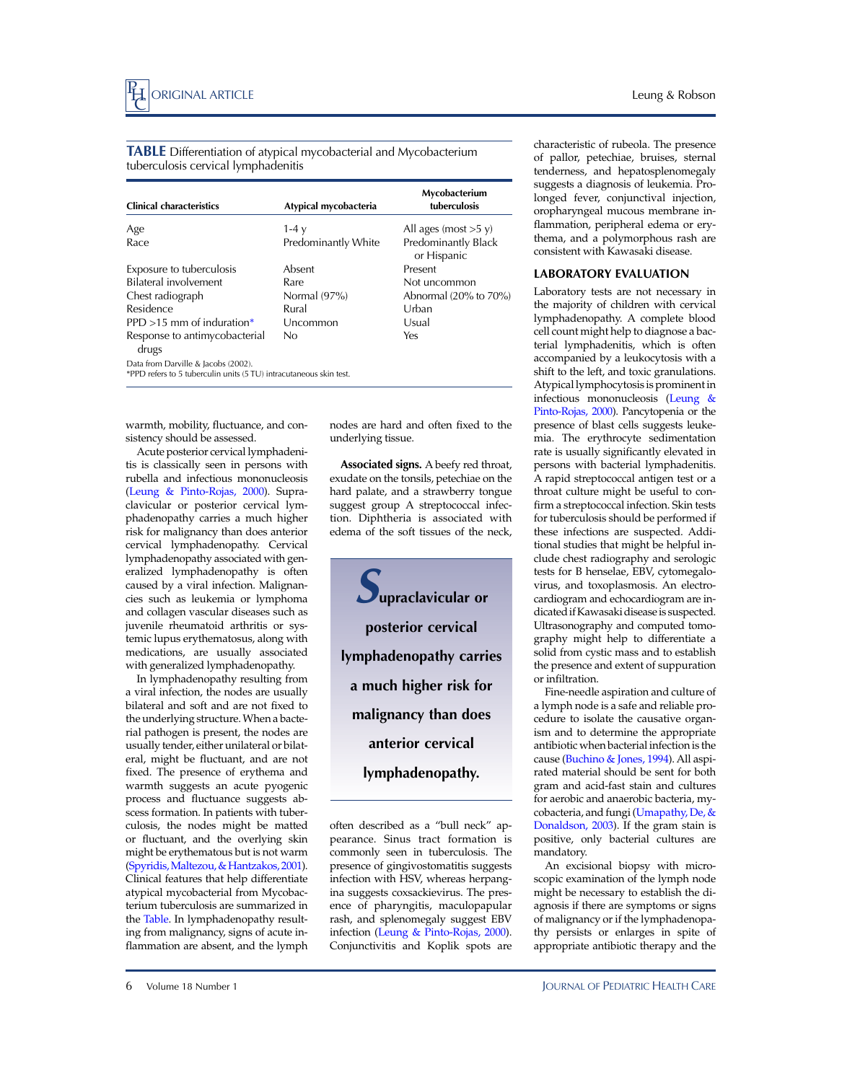**TABLE** Differentiation of atypical mycobacterial and Mycobacterium tuberculosis cervical lymphadenitis

| <b>Clinical characteristics</b>                                                                           | Atypical mycobacteria | Mycobacterium<br>tuberculosis      |
|-----------------------------------------------------------------------------------------------------------|-----------------------|------------------------------------|
| Age                                                                                                       | 1-4 $v$               | All ages (most $>5$ y)             |
| Race                                                                                                      | Predominantly White   | Predominantly Black<br>or Hispanic |
| Exposure to tuberculosis                                                                                  | Absent                | Present                            |
| Bilateral involvement                                                                                     | Rare                  | Not uncommon                       |
| Chest radiograph                                                                                          | Normal $(97%)$        | Abnormal $(20\%$ to $70\%)$        |
| Residence                                                                                                 | Rural                 | Urban                              |
| PPD $>15$ mm of induration*                                                                               | Uncommon              | Usual                              |
| Response to antimycobacterial<br>drugs                                                                    | No.                   | Yes                                |
| Data from Darville & Jacobs (2002).<br>*PPD refers to 5 tuberculin units (5 TU) intracutaneous skin test. |                       |                                    |

warmth, mobility, fluctuance, and consistency should be assessed.

Acute posterior cervical lymphadenitis is classically seen in persons with rubella and infectious mononucleosis [\(Leung & Pinto-Rojas, 2000\)](#page-4-0). Supraclavicular or posterior cervical lymphadenopathy carries a much higher risk for malignancy than does anterior cervical lymphadenopathy. Cervical lymphadenopathy associated with generalized lymphadenopathy is often caused by a viral infection. Malignancies such as leukemia or lymphoma and collagen vascular diseases such as juvenile rheumatoid arthritis or systemic lupus erythematosus, along with medications, are usually associated with generalized lymphadenopathy.

In lymphadenopathy resulting from a viral infection, the nodes are usually bilateral and soft and are not fixed to the underlying structure. When a bacterial pathogen is present, the nodes are usually tender, either unilateral or bilateral, might be fluctuant, and are not fixed. The presence of erythema and warmth suggests an acute pyogenic process and fluctuance suggests abscess formation. In patients with tuberculosis, the nodes might be matted or fluctuant, and the overlying skin might be erythematous but is not warm [\(Spyridis, Maltezou, & Hantzakos, 2001\).](#page-4-0) Clinical features that help differentiate atypical mycobacterial from Mycobacterium tuberculosis are summarized in the Table. In lymphadenopathy resulting from malignancy, signs of acute inflammation are absent, and the lymph

nodes are hard and often fixed to the underlying tissue.

**Associated signs.** A beefy red throat, exudate on the tonsils, petechiae on the hard palate, and a strawberry tongue suggest group A streptococcal infection. Diphtheria is associated with edema of the soft tissues of the neck,



often described as a "bull neck" appearance. Sinus tract formation is commonly seen in tuberculosis. The presence of gingivostomatitis suggests infection with HSV, whereas herpangina suggests coxsackievirus. The presence of pharyngitis, maculopapular rash, and splenomegaly suggest EBV infection [\(Leung & Pinto-Rojas, 2000\)](#page-4-0). Conjunctivitis and Koplik spots are

characteristic of rubeola. The presence of pallor, petechiae, bruises, sternal tenderness, and hepatosplenomegaly suggests a diagnosis of leukemia. Prolonged fever, conjunctival injection, oropharyngeal mucous membrane inflammation, peripheral edema or erythema, and a polymorphous rash are consistent with Kawasaki disease.

#### **LABORATORY EVALUATION**

Laboratory tests are not necessary in the majority of children with cervical lymphadenopathy. A complete blood cell count might help to diagnose a bacterial lymphadenitis, which is often accompanied by a leukocytosis with a shift to the left, and toxic granulations. Atypical lymphocytosis is prominent in infectious mononucleosis [\(Leung &](#page-4-0) [Pinto-Rojas,](#page-4-0) 2000). Pancytopenia or the presence of blast cells suggests leukemia. The erythrocyte sedimentation rate is usually significantly elevated in persons with bacterial lymphadenitis. A rapid streptococcal antigen test or a throat culture might be useful to confirm a streptococcal infection. Skin tests for tuberculosis should be performed if these infections are suspected. Additional studies that might be helpful include chest radiography and serologic tests for B henselae, EBV, cytomegalovirus, and toxoplasmosis. An electrocardiogram and echocardiogram are indicated if Kawasaki disease is suspected. Ultrasonography and computed tomography might help to differentiate a solid from cystic mass and to establish the presence and extent of suppuration or infiltration.

Fine-needle aspiration and culture of a lymph node is a safe and reliable procedure to isolate the causative organism and to determine the appropriate antibiotic when bacterial infection is the cause ([Buchino & Jones, 1994\)](#page-4-0). All aspirated material should be sent for both gram and acid-fast stain and cultures for aerobic and anaerobic bacteria, mycobacteria, and fungi([Umapathy,](#page-4-0) De, & [Donaldson,](#page-4-0) 2003). If the gram stain is positive, only bacterial cultures are mandatory.

An excisional biopsy with microscopic examination of the lymph node might be necessary to establish the diagnosis if there are symptoms or signs of malignancy or if the lymphadenopathy persists or enlarges in spite of appropriate antibiotic therapy and the